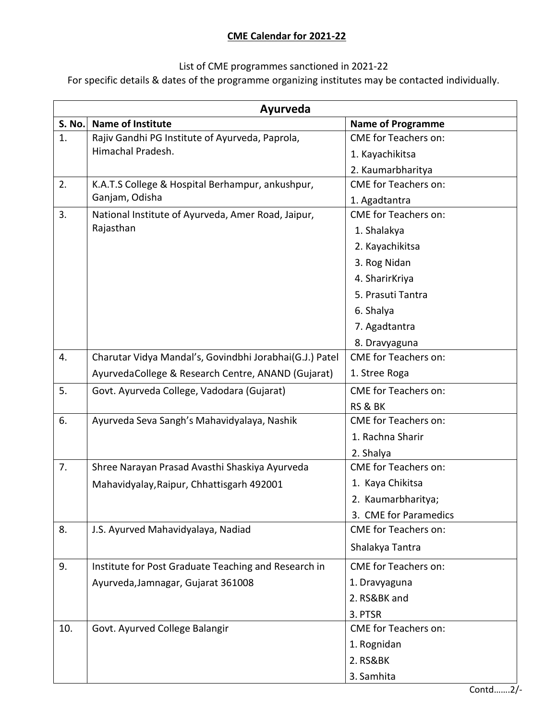## **CME Calendar for 2021-22**

## List of CME programmes sanctioned in 2021-22

For specific details & dates of the programme organizing institutes may be contacted individually.

| Ayurveda |                                                         |                             |  |  |
|----------|---------------------------------------------------------|-----------------------------|--|--|
| S. No.   | <b>Name of Institute</b>                                | <b>Name of Programme</b>    |  |  |
| 1.       | Rajiv Gandhi PG Institute of Ayurveda, Paprola,         | <b>CME</b> for Teachers on: |  |  |
|          | Himachal Pradesh.                                       | 1. Kayachikitsa             |  |  |
|          |                                                         | 2. Kaumarbharitya           |  |  |
| 2.       | K.A.T.S College & Hospital Berhampur, ankushpur,        | <b>CME</b> for Teachers on: |  |  |
|          | Ganjam, Odisha                                          | 1. Agadtantra               |  |  |
| 3.       | National Institute of Ayurveda, Amer Road, Jaipur,      | <b>CME</b> for Teachers on: |  |  |
|          | Rajasthan                                               | 1. Shalakya                 |  |  |
|          |                                                         | 2. Kayachikitsa             |  |  |
|          |                                                         | 3. Rog Nidan                |  |  |
|          |                                                         | 4. SharirKriya              |  |  |
|          |                                                         | 5. Prasuti Tantra           |  |  |
|          |                                                         | 6. Shalya                   |  |  |
|          |                                                         | 7. Agadtantra               |  |  |
|          |                                                         | 8. Dravyaguna               |  |  |
| 4.       | Charutar Vidya Mandal's, Govindbhi Jorabhai(G.J.) Patel | <b>CME</b> for Teachers on: |  |  |
|          | AyurvedaCollege & Research Centre, ANAND (Gujarat)      | 1. Stree Roga               |  |  |
| 5.       | Govt. Ayurveda College, Vadodara (Gujarat)              | <b>CME</b> for Teachers on: |  |  |
|          |                                                         | RS & BK                     |  |  |
| 6.       | Ayurveda Seva Sangh's Mahavidyalaya, Nashik             | <b>CME</b> for Teachers on: |  |  |
|          |                                                         | 1. Rachna Sharir            |  |  |
|          |                                                         | 2. Shalya                   |  |  |
| 7.       | Shree Narayan Prasad Avasthi Shaskiya Ayurveda          | <b>CME</b> for Teachers on: |  |  |
|          | Mahavidyalay, Raipur, Chhattisgarh 492001               | 1. Kaya Chikitsa            |  |  |
|          |                                                         | 2. Kaumarbharitya;          |  |  |
|          |                                                         | 3. CME for Paramedics       |  |  |
| 8.       | J.S. Ayurved Mahavidyalaya, Nadiad                      | <b>CME for Teachers on:</b> |  |  |
|          |                                                         | Shalakya Tantra             |  |  |
| 9.       | Institute for Post Graduate Teaching and Research in    | <b>CME</b> for Teachers on: |  |  |
|          | Ayurveda, Jamnagar, Gujarat 361008                      | 1. Dravyaguna               |  |  |
|          |                                                         | 2. RS&BK and                |  |  |
|          |                                                         | 3. PTSR                     |  |  |
| 10.      | Govt. Ayurved College Balangir                          | <b>CME</b> for Teachers on: |  |  |
|          |                                                         | 1. Rognidan                 |  |  |
|          |                                                         | 2. RS&BK                    |  |  |
|          |                                                         | 3. Samhita                  |  |  |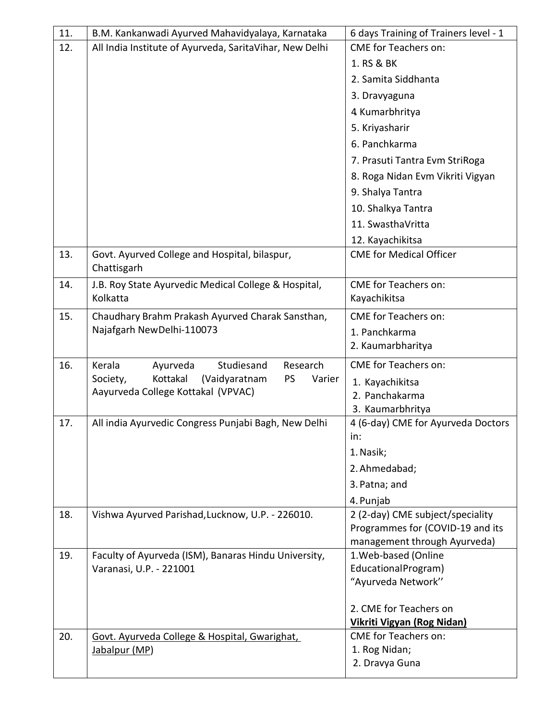| 11. | B.M. Kankanwadi Ayurved Mahavidyalaya, Karnataka             | 6 days Training of Trainers level - 1                  |
|-----|--------------------------------------------------------------|--------------------------------------------------------|
| 12. | All India Institute of Ayurveda, SaritaVihar, New Delhi      | <b>CME for Teachers on:</b>                            |
|     |                                                              | 1. RS & BK                                             |
|     |                                                              | 2. Samita Siddhanta                                    |
|     |                                                              | 3. Dravyaguna                                          |
|     |                                                              | 4 Kumarbhritya                                         |
|     |                                                              | 5. Kriyasharir                                         |
|     |                                                              | 6. Panchkarma                                          |
|     |                                                              | 7. Prasuti Tantra Evm StriRoga                         |
|     |                                                              | 8. Roga Nidan Evm Vikriti Vigyan                       |
|     |                                                              | 9. Shalya Tantra                                       |
|     |                                                              | 10. Shalkya Tantra                                     |
|     |                                                              | 11. SwasthaVritta                                      |
|     |                                                              | 12. Kayachikitsa                                       |
| 13. | Govt. Ayurved College and Hospital, bilaspur,                | <b>CME for Medical Officer</b>                         |
|     | Chattisgarh                                                  |                                                        |
| 14. | J.B. Roy State Ayurvedic Medical College & Hospital,         | <b>CME</b> for Teachers on:                            |
|     | Kolkatta                                                     | Kayachikitsa                                           |
| 15. | Chaudhary Brahm Prakash Ayurved Charak Sansthan,             | <b>CME</b> for Teachers on:                            |
|     | Najafgarh New Delhi-110073                                   | 1. Panchkarma                                          |
|     |                                                              | 2. Kaumarbharitya                                      |
| 16. | Kerala<br>Studiesand<br>Research<br>Ayurveda                 | <b>CME for Teachers on:</b>                            |
|     | Kottakal<br><b>PS</b><br>Society,<br>(Vaidyaratnam<br>Varier | 1. Kayachikitsa                                        |
|     | Aayurveda College Kottakal (VPVAC)                           | 2. Panchakarma                                         |
| 17. | All india Ayurvedic Congress Punjabi Bagh, New Delhi         | 3. Kaumarbhritya<br>4 (6-day) CME for Ayurveda Doctors |
|     |                                                              | in:                                                    |
|     |                                                              | 1. Nasik;                                              |
|     |                                                              | 2. Ahmedabad;                                          |
|     |                                                              | 3. Patna; and                                          |
|     |                                                              | 4. Punjab                                              |
| 18. | Vishwa Ayurved Parishad, Lucknow, U.P. - 226010.             | 2 (2-day) CME subject/speciality                       |
|     |                                                              | Programmes for (COVID-19 and its                       |
|     |                                                              | management through Ayurveda)                           |
| 19. | Faculty of Ayurveda (ISM), Banaras Hindu University,         | 1. Web-based (Online                                   |
|     | Varanasi, U.P. - 221001                                      | EducationalProgram)<br>"Ayurveda Network"              |
|     |                                                              |                                                        |
|     |                                                              | 2. CME for Teachers on                                 |
|     |                                                              | Vikriti Vigyan (Rog Nidan)                             |
| 20. | Govt. Ayurveda College & Hospital, Gwarighat,                | <b>CME</b> for Teachers on:                            |
|     | Jabalpur (MP)                                                | 1. Rog Nidan;                                          |
|     |                                                              | 2. Dravya Guna                                         |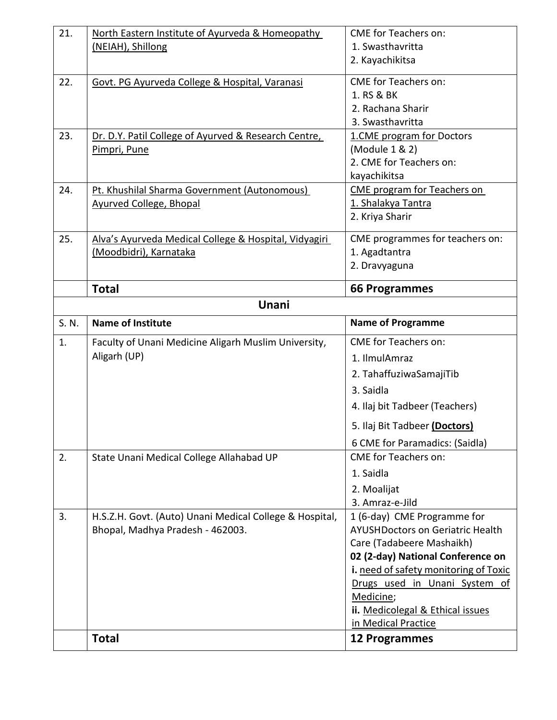| 21.   | North Eastern Institute of Ayurveda & Homeopathy                                | <b>CME</b> for Teachers on:                             |
|-------|---------------------------------------------------------------------------------|---------------------------------------------------------|
|       | (NEIAH), Shillong                                                               | 1. Swasthavritta                                        |
|       |                                                                                 | 2. Kayachikitsa                                         |
| 22.   | Govt. PG Ayurveda College & Hospital, Varanasi                                  | <b>CME</b> for Teachers on:                             |
|       |                                                                                 | 1. RS & BK                                              |
|       |                                                                                 | 2. Rachana Sharir                                       |
|       |                                                                                 | 3. Swasthavritta                                        |
| 23.   | Dr. D.Y. Patil College of Ayurved & Research Centre,                            | 1.CME program for Doctors                               |
|       | Pimpri, Pune                                                                    | (Module 1 & 2)                                          |
|       |                                                                                 | 2. CME for Teachers on:                                 |
| 24.   | Pt. Khushilal Sharma Government (Autonomous)                                    | kayachikitsa<br><b>CME program for Teachers on</b>      |
|       | <b>Ayurved College, Bhopal</b>                                                  | 1. Shalakya Tantra                                      |
|       |                                                                                 | 2. Kriya Sharir                                         |
|       |                                                                                 |                                                         |
| 25.   | Alva's Ayurveda Medical College & Hospital, Vidyagiri<br>(Moodbidri), Karnataka | CME programmes for teachers on:<br>1. Agadtantra        |
|       |                                                                                 | 2. Dravyaguna                                           |
|       |                                                                                 |                                                         |
|       | <b>Total</b>                                                                    | <b>66 Programmes</b>                                    |
|       | Unani                                                                           |                                                         |
| S. N. | <b>Name of Institute</b>                                                        | <b>Name of Programme</b>                                |
|       |                                                                                 |                                                         |
| 1.    | Faculty of Unani Medicine Aligarh Muslim University,                            | <b>CME</b> for Teachers on:                             |
|       | Aligarh (UP)                                                                    | 1. IlmulAmraz                                           |
|       |                                                                                 | 2. TahaffuziwaSamajiTib                                 |
|       |                                                                                 | 3. Saidla                                               |
|       |                                                                                 | 4. Ilaj bit Tadbeer (Teachers)                          |
|       |                                                                                 | 5. Ilaj Bit Tadbeer (Doctors)                           |
|       |                                                                                 | 6 CME for Paramadics: (Saidla)                          |
| 2.    | State Unani Medical College Allahabad UP                                        | <b>CME</b> for Teachers on:                             |
|       |                                                                                 | 1. Saidla                                               |
|       |                                                                                 | 2. Moalijat                                             |
|       |                                                                                 | 3. Amraz-e-Jild                                         |
| 3.    | H.S.Z.H. Govt. (Auto) Unani Medical College & Hospital,                         | 1 (6-day) CME Programme for                             |
|       | Bhopal, Madhya Pradesh - 462003.                                                | <b>AYUSHDoctors on Geriatric Health</b>                 |
|       |                                                                                 | Care (Tadabeere Mashaikh)                               |
|       |                                                                                 | 02 (2-day) National Conference on                       |
|       |                                                                                 | i. need of safety monitoring of Toxic                   |
|       |                                                                                 | Drugs used in Unani System of                           |
|       |                                                                                 | Medicine;                                               |
|       |                                                                                 | ii. Medicolegal & Ethical issues<br>in Medical Practice |
|       | <b>Total</b>                                                                    | <b>12 Programmes</b>                                    |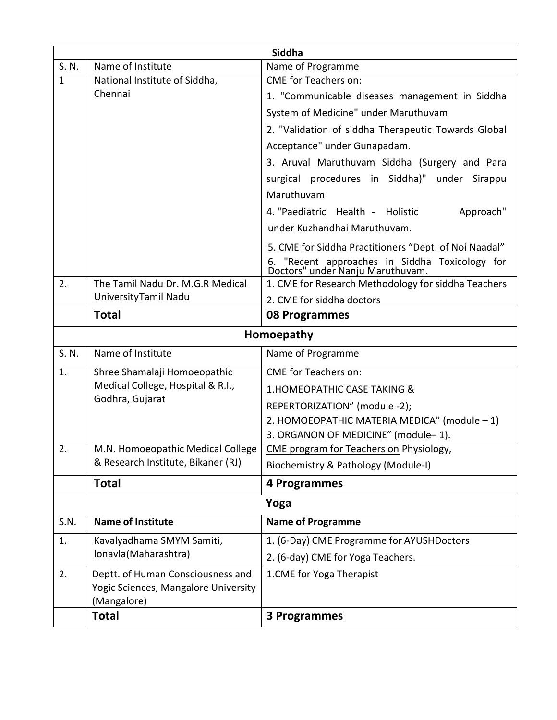|              | Siddha                                               |                                                                                    |  |  |
|--------------|------------------------------------------------------|------------------------------------------------------------------------------------|--|--|
| S. N.        | Name of Institute                                    | Name of Programme                                                                  |  |  |
| $\mathbf{1}$ | National Institute of Siddha,                        | <b>CME</b> for Teachers on:                                                        |  |  |
|              | Chennai                                              | 1. "Communicable diseases management in Siddha                                     |  |  |
|              |                                                      | System of Medicine" under Maruthuvam                                               |  |  |
|              |                                                      | 2. "Validation of siddha Therapeutic Towards Global                                |  |  |
|              |                                                      | Acceptance" under Gunapadam.                                                       |  |  |
|              |                                                      | 3. Aruval Maruthuvam Siddha (Surgery and Para                                      |  |  |
|              |                                                      | surgical procedures in Siddha)" under Sirappu                                      |  |  |
|              |                                                      | Maruthuvam                                                                         |  |  |
|              |                                                      | 4. "Paediatric Health - Holistic<br>Approach"                                      |  |  |
|              |                                                      | under Kuzhandhai Maruthuvam.                                                       |  |  |
|              |                                                      | 5. CME for Siddha Practitioners "Dept. of Noi Naadal"                              |  |  |
|              |                                                      | 6. "Recent approaches in Siddha Toxicology for<br>Doctors" under Nanju Maruthuvam. |  |  |
| 2.           | The Tamil Nadu Dr. M.G.R Medical                     | 1. CME for Research Methodology for siddha Teachers                                |  |  |
|              | University Tamil Nadu                                | 2. CME for siddha doctors                                                          |  |  |
|              | <b>Total</b>                                         | 08 Programmes                                                                      |  |  |
|              |                                                      | Homoepathy                                                                         |  |  |
| S. N.        | Name of Institute                                    | Name of Programme                                                                  |  |  |
| 1.           | Shree Shamalaji Homoeopathic                         | <b>CME</b> for Teachers on:                                                        |  |  |
|              | Medical College, Hospital & R.I.,<br>Godhra, Gujarat | 1. HOMEOPATHIC CASE TAKING &                                                       |  |  |
|              |                                                      | REPERTORIZATION" (module -2);                                                      |  |  |
|              |                                                      | 2. HOMOEOPATHIC MATERIA MEDICA" (module - 1)                                       |  |  |
|              |                                                      | 3. ORGANON OF MEDICINE" (module-1).                                                |  |  |
| 2.           | M.N. Homoeopathic Medical College                    | CME program for Teachers on Physiology,                                            |  |  |
|              | & Research Institute, Bikaner (RJ)                   | Biochemistry & Pathology (Module-I)                                                |  |  |
|              | <b>Total</b>                                         | 4 Programmes                                                                       |  |  |
|              |                                                      | Yoga                                                                               |  |  |
| S.N.         | <b>Name of Institute</b>                             | <b>Name of Programme</b>                                                           |  |  |
| 1.           | Kavalyadhama SMYM Samiti,                            | 1. (6-Day) CME Programme for AYUSHDoctors                                          |  |  |
|              | Ionavla (Maharashtra)                                | 2. (6-day) CME for Yoga Teachers.                                                  |  |  |
| 2.           | Deptt. of Human Consciousness and                    | 1.CME for Yoga Therapist                                                           |  |  |
|              | Yogic Sciences, Mangalore University                 |                                                                                    |  |  |
|              | (Mangalore)                                          |                                                                                    |  |  |
|              | <b>Total</b>                                         | 3 Programmes                                                                       |  |  |